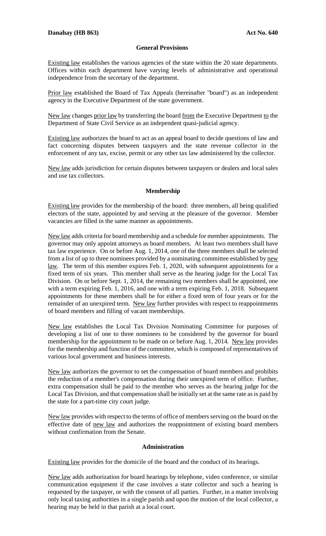## **General Provisions**

Existing law establishes the various agencies of the state within the 20 state departments. Offices within each department have varying levels of administrative and operational independence from the secretary of the department.

Prior law established the Board of Tax Appeals (hereinafter "board") as an independent agency in the Executive Department of the state government.

New law changes prior law by transferring the board from the Executive Department to the Department of State Civil Service as an independent quasi-judicial agency.

Existing law authorizes the board to act as an appeal board to decide questions of law and fact concerning disputes between taxpayers and the state revenue collector in the enforcement of any tax, excise, permit or any other tax law administered by the collector.

New law adds jurisdiction for certain disputes between taxpayers or dealers and local sales and use tax collectors.

## **Membership**

Existing law provides for the membership of the board: three members, all being qualified electors of the state, appointed by and serving at the pleasure of the governor. Member vacancies are filled in the same manner as appointments.

New law adds criteria for board membership and a schedule for member appointments. The governor may only appoint attorneys as board members. At least two members shall have tax law experience. On or before Aug. 1, 2014, one of the three members shall be selected from a list of up to three nominees provided by a nominating committee established by new law. The term of this member expires Feb. 1, 2020, with subsequent appointments for a fixed term of six years. This member shall serve as the hearing judge for the Local Tax Division. On or before Sept. 1, 2014, the remaining two members shall be appointed, one with a term expiring Feb. 1, 2016, and one with a term expiring Feb. 1, 2018. Subsequent appointments for these members shall be for either a fixed term of four years or for the remainder of an unexpired term. New law further provides with respect to reappointments of board members and filling of vacant memberships.

New law establishes the Local Tax Division Nominating Committee for purposes of developing a list of one to three nominees to be considered by the governor for board membership for the appointment to be made on or before Aug. 1, 2014. New law provides for the membership and function of the committee, which is composed of representatives of various local government and business interests.

New law authorizes the governor to set the compensation of board members and prohibits the reduction of a member's compensation during their unexpired term of office. Further, extra compensation shall be paid to the member who serves as the hearing judge for the Local Tax Division, and that compensation shall be initially set at the same rate as is paid by the state for a part-time city court judge.

New law provides with respect to the terms of office of members serving on the board on the effective date of new law and authorizes the reappointment of existing board members without confirmation from the Senate.

## **Administration**

Existing law provides for the domicile of the board and the conduct of its hearings.

New law adds authorization for board hearings by telephone, video conference, or similar communication equipment if the case involves a state collector and such a hearing is requested by the taxpayer, or with the consent of all parties. Further, in a matter involving only local taxing authorities in a single parish and upon the motion of the local collector, a hearing may be held in that parish at a local court.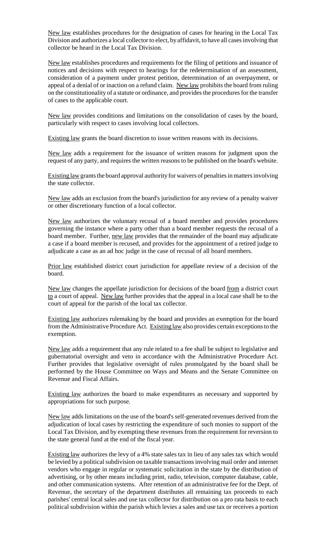New law establishes procedures for the designation of cases for hearing in the Local Tax Division and authorizes a local collector to elect, by affidavit, to have all cases involving that collector be heard in the Local Tax Division.

New law establishes procedures and requirements for the filing of petitions and issuance of notices and decisions with respect to hearings for the redetermination of an assessment, consideration of a payment under protest petition, determination of an overpayment, or appeal of a denial of or inaction on a refund claim. New law prohibits the board from ruling on the constitutionality of a statute or ordinance, and provides the procedures for the transfer of cases to the applicable court.

New law provides conditions and limitations on the consolidation of cases by the board, particularly with respect to cases involving local collectors.

Existing law grants the board discretion to issue written reasons with its decisions.

New law adds a requirement for the issuance of written reasons for judgment upon the request of any party, and requires the written reasons to be published on the board's website.

Existing law grants the board approval authority for waivers of penalties in matters involving the state collector.

New law adds an exclusion from the board's jurisdiction for any review of a penalty waiver or other discretionary function of a local collector.

New law authorizes the voluntary recusal of a board member and provides procedures governing the instance where a party other than a board member requests the recusal of a board member. Further, new law provides that the remainder of the board may adjudicate a case if a board member is recused, and provides for the appointment of a retired judge to adjudicate a case as an ad hoc judge in the case of recusal of all board members.

Prior law established district court jurisdiction for appellate review of a decision of the board.

New law changes the appellate jurisdiction for decisions of the board from a district court to a court of appeal. New law further provides that the appeal in a local case shall be to the court of appeal for the parish of the local tax collector.

Existing law authorizes rulemaking by the board and provides an exemption for the board from the Administrative Procedure Act. Existing law also provides certain exceptions to the exemption.

New law adds a requirement that any rule related to a fee shall be subject to legislative and gubernatorial oversight and veto in accordance with the Administrative Procedure Act. Further provides that legislative oversight of rules promulgated by the board shall be performed by the House Committee on Ways and Means and the Senate Committee on Revenue and Fiscal Affairs.

Existing law authorizes the board to make expenditures as necessary and supported by appropriations for such purpose.

New law adds limitations on the use of the board's self-generated revenues derived from the adjudication of local cases by restricting the expenditure of such monies to support of the Local Tax Division, and by exempting these revenues from the requirement for reversion to the state general fund at the end of the fiscal year.

Existing law authorizes the levy of a 4% state sales tax in lieu of any sales tax which would be levied by a political subdivision on taxable transactions involving mail order and internet vendors who engage in regular or systematic solicitation in the state by the distribution of advertising, or by other means including print, radio, television, computer database, cable, and other communication systems. After retention of an administrative fee for the Dept. of Revenue, the secretary of the department distributes all remaining tax proceeds to each parishes' central local sales and use tax collector for distribution on a pro rata basis to each political subdivision within the parish which levies a sales and use tax or receives a portion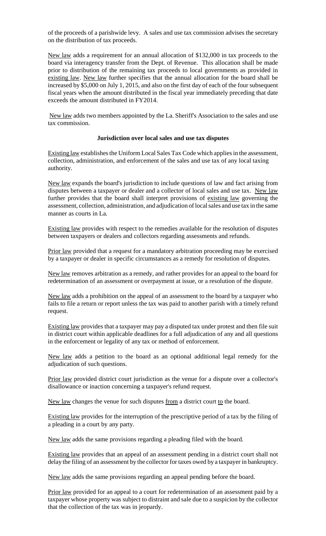of the proceeds of a parishwide levy. A sales and use tax commission advises the secretary on the distribution of tax proceeds.

New law adds a requirement for an annual allocation of \$132,000 in tax proceeds to the board via interagency transfer from the Dept. of Revenue. This allocation shall be made prior to distribution of the remaining tax proceeds to local governments as provided in existing law. New law further specifies that the annual allocation for the board shall be increased by \$5,000 on July 1, 2015, and also on the first day of each of the four subsequent fiscal years when the amount distributed in the fiscal year immediately preceding that date exceeds the amount distributed in FY2014.

New law adds two members appointed by the La. Sheriff's Association to the sales and use tax commission.

## **Jurisdiction over local sales and use tax disputes**

Existing law establishes the Uniform Local Sales Tax Code which applies in the assessment, collection, administration, and enforcement of the sales and use tax of any local taxing authority.

New law expands the board's jurisdiction to include questions of law and fact arising from disputes between a taxpayer or dealer and a collector of local sales and use tax. New law further provides that the board shall interpret provisions of existing law governing the assessment, collection, administration, and adjudication of local sales and use tax in the same manner as courts in La.

Existing law provides with respect to the remedies available for the resolution of disputes between taxpayers or dealers and collectors regarding assessments and refunds.

Prior law provided that a request for a mandatory arbitration proceeding may be exercised by a taxpayer or dealer in specific circumstances as a remedy for resolution of disputes.

New law removes arbitration as a remedy, and rather provides for an appeal to the board for redetermination of an assessment or overpayment at issue, or a resolution of the dispute.

New law adds a prohibition on the appeal of an assessment to the board by a taxpayer who fails to file a return or report unless the tax was paid to another parish with a timely refund request.

Existing law provides that a taxpayer may pay a disputed tax under protest and then file suit in district court within applicable deadlines for a full adjudication of any and all questions in the enforcement or legality of any tax or method of enforcement.

New law adds a petition to the board as an optional additional legal remedy for the adjudication of such questions.

Prior law provided district court jurisdiction as the venue for a dispute over a collector's disallowance or inaction concerning a taxpayer's refund request.

New law changes the venue for such disputes from a district court to the board.

Existing law provides for the interruption of the prescriptive period of a tax by the filing of a pleading in a court by any party.

New law adds the same provisions regarding a pleading filed with the board.

Existing law provides that an appeal of an assessment pending in a district court shall not delay the filing of an assessment by the collector for taxes owed by a taxpayer in bankruptcy.

New law adds the same provisions regarding an appeal pending before the board.

Prior law provided for an appeal to a court for redetermination of an assessment paid by a taxpayer whose property was subject to distraint and sale due to a suspicion by the collector that the collection of the tax was in jeopardy.